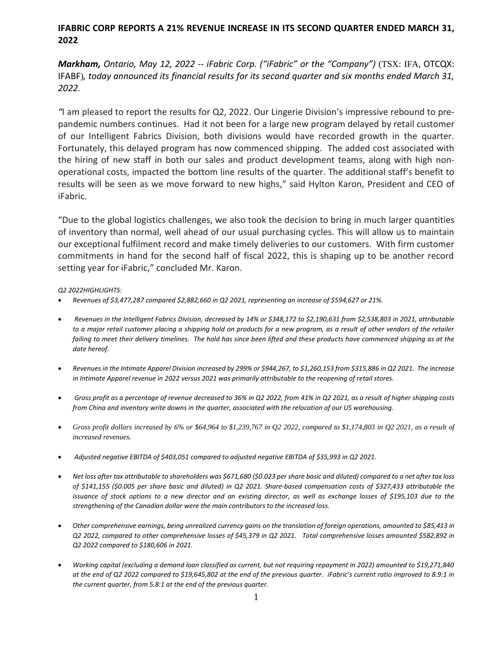# **IFABRIC CORP REPORTS A 21% REVENUE INCREASE IN ITS SECOND QUARTER ENDED MARCH 31, 2022**

*Markham, Ontario, May 12, 2022 -- iFabric Corp. ("iFabric" or the "Company")* (TSX: IFA, OTCQX: IFABF)*, today announced its financial results for its second quarter and six months ended March 31, 2022.*

*"*I am pleased to report the results for Q2, 2022. Our Lingerie Division's impressive rebound to prepandemic numbers continues. Had it not been for a large new program delayed by retail customer of our Intelligent Fabrics Division, both divisions would have recorded growth in the quarter. Fortunately, this delayed program has now commenced shipping. The added cost associated with the hiring of new staff in both our sales and product development teams, along with high nonoperational costs, impacted the bottom line results of the quarter. The additional staff's benefit to results will be seen as we move forward to new highs," said Hylton Karon, President and CEO of iFabric.

"Due to the global logistics challenges, we also took the decision to bring in much larger quantities of inventory than normal, well ahead of our usual purchasing cycles. This will allow us to maintain our exceptional fulfilment record and make timely deliveries to our customers. With firm customer commitments in hand for the second half of fiscal 2022, this is shaping up to be another record setting year for iFabric," concluded Mr. Karon.

*Q2 2022HIGHLIGHTS:*

- *Revenues of \$3,477,287 compared \$2,882,660 in Q2 2021, representing an increase of \$594,627 or 21%.*
- *Revenues in the Intelligent Fabrics Division, decreased by 14% or \$348,172 to \$2,190,631 from \$2,538,803 in 2021, attributable to a major retail customer placing a shipping hold on products for a new program, as a result of other vendors of the retailer failing to meet their delivery timelines. The hold has since been lifted and these products have commenced shipping as at the date hereof.*
- *Revenues in the Intimate Apparel Division increased by 299% or \$944,267, to \$1,260,153 from \$315,886 in Q2 2021. The increase in Intimate Apparel revenue in 2022 versus 2021 was primarily attributable to the reopening of retail stores.*
- *Gross profit as a percentage of revenue decreased to 36% in Q2 2022, from 41% in Q2 2021, as a result of higher shipping costs from China and inventory write downs in the quarter, associated with the relocation of our US warehousing.*
- *Gross profit dollars increased by 6% or \$64,964 to \$1,239,767 in Q2 2022, compared to \$1,174,803 in Q2 2021, as a result of increased revenues.*
- *Adjusted negative EBITDA of \$403,051 compared to adjusted negative EBITDA of \$35,993 in Q2 2021.*
- *Net loss after tax attributable to shareholders was \$671,680 (\$0.023 per share basic and diluted) compared to a net after tax loss of \$141,155 (\$0.005 per share basic and diluted) in Q2 2021. Share-based compensation costs of \$327,433 attributable the issuance of stock options to a new director and an existing director, as well as exchange losses of \$195,103 due to the strengthening of the Canadian dollar were the main contributors to the increased loss.*
- *Other comprehensive earnings, being unrealized currency gains on the translation of foreign operations, amounted to \$85,413 in Q2 2022, compared to other comprehensive losses of \$45,379 in Q2 2021. Total comprehensive losses amounted \$582,892 in Q2 2022 compared to \$180,606 in 2021.*
- *Working capital (excluding a demand loan classified as current, but not requiring repayment in 2022) amounted to \$19,271,840 at the end of Q2 2022 compared to \$19,645,802 at the end of the previous quarter. iFabric's current ratio improved to 8.9:1 in the current quarter, from 5.8:1 at the end of the previous quarter.*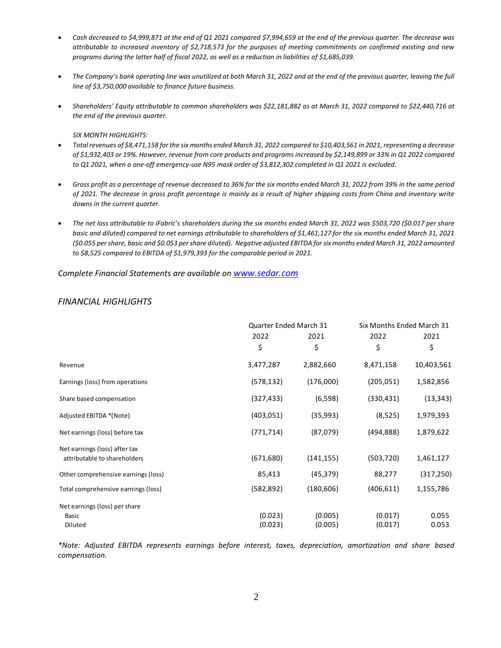- *Cash decreased to \$4,999,871 at the end of Q1 2021 compared \$7,994,659 at the end of the previous quarter. The decrease was attributable to increased inventory of \$2,718,573 for the purposes of meeting commitments on confirmed existing and new programs during the latter half of fiscal 2022, as well as a reduction in liabilities of \$1,685,039.*
- *The Company's bank operating line was unutilized at both March 31, 2022 and at the end of the previous quarter, leaving the full line of \$3,750,000 available to finance future business.*
- *Shareholders' Equity attributable to common shareholders was \$22,181,882 as at March 31, 2022 compared to \$22,440,716 at the end of the previous quarter.*

#### *SIX MONTH HIGHLIGHTS:*

- *Total revenues of \$8,471,158 for the six months ended March 31, 2022 compared to \$10,403,561 in 2021, representing a decrease of \$1,932,403 or 19%. However, revenue from core products and programs increased by \$2,149,899 or 33% in Q1 2022 compared to Q1 2021, when a one-off emergency-use N95 mask order of \$3,812,302 completed in Q1 2021 is excluded.*
- *Gross profit as a percentage of revenue decreased to 36% for the six months ended March 31, 2022 from 39% in the same period of 2021. The decrease in gross profit percentage is mainly as a result of higher shipping costs from China and inventory write downs in the current quarter.*
- *The net loss attributable to iFabric's shareholders during the six months ended March 31, 2022 was \$503,720 (\$0.017 per share basic and diluted) compared to net earnings attributable to shareholders of \$1,461,127 for the six months ended March 31, 2021 (\$0.055 per share, basic and \$0.053 per share diluted). Negative adjusted EBITDA for six months ended March 31, 2022 amounted to \$8,525 compared to EBITDA of \$1,979,393 for the comparable period in 2021.*

*Complete Financial Statements are available on [www.sedar.com](http://www.sedar.com/)*

|                                                               |                    | Quarter Ended March 31 |                    | Six Months Ended March 31 |  |
|---------------------------------------------------------------|--------------------|------------------------|--------------------|---------------------------|--|
|                                                               | 2022<br>\$         | 2021<br>\$             | 2022<br>\$         | 2021<br>\$                |  |
| Revenue                                                       | 3,477,287          | 2,882,660              | 8,471,158          | 10,403,561                |  |
| Earnings (loss) from operations                               | (578, 132)         | (176,000)              | (205, 051)         | 1,582,856                 |  |
| Share based compensation                                      | (327, 433)         | (6,598)                | (330, 431)         | (13, 343)                 |  |
| Adjusted EBITDA *(Note)                                       | (403, 051)         | (35,993)               | (8, 525)           | 1,979,393                 |  |
| Net earnings (loss) before tax                                | (771, 714)         | (87,079)               | (494, 888)         | 1,879,622                 |  |
| Net earnings (loss) after tax<br>attributable to shareholders | (671, 680)         | (141, 155)             | (503, 720)         | 1,461,127                 |  |
| Other comprehensive earnings (loss)                           | 85,413             | (45, 379)              | 88,277             | (317, 250)                |  |
| Total comprehensive earnings (loss)                           | (582, 892)         | (180, 606)             | (406, 611)         | 1,155,786                 |  |
| Net earnings (loss) per share<br>Basic<br>Diluted             | (0.023)<br>(0.023) | (0.005)<br>(0.005)     | (0.017)<br>(0.017) | 0.055<br>0.053            |  |

# *FINANCIAL HIGHLIGHTS*

*\*Note: Adjusted EBITDA represents earnings before interest, taxes, depreciation, amortization and share based compensation.*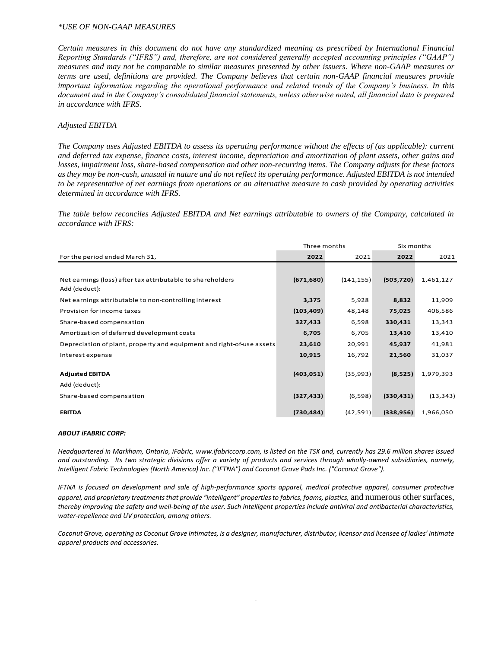### *\*USE OF NON-GAAP MEASURES*

*Certain measures in this document do not have any standardized meaning as prescribed by International Financial Reporting Standards ("IFRS") and, therefore, are not considered generally accepted accounting principles ("GAAP") measures and may not be comparable to similar measures presented by other issuers. Where non-GAAP measures or terms are used, definitions are provided. The Company believes that certain non-GAAP financial measures provide important information regarding the operational performance and related trends of the Company's business. In this document and in the Company's consolidated financial statements, unless otherwise noted, all financial data is prepared in accordance with IFRS.*

### *Adjusted EBITDA*

*The Company uses Adjusted EBITDA to assess its operating performance without the effects of (as applicable): current and deferred tax expense, finance costs, interest income, depreciation and amortization of plant assets, other gains and losses, impairment loss, share-based compensation and other non-recurring items. The Company adjusts for these factors as they may be non-cash, unusual in nature and do not reflect its operating performance. Adjusted EBITDA is not intended to be representative of net earnings from operations or an alternative measure to cash provided by operating activities determined in accordance with IFRS.*

*The table below reconciles Adjusted EBITDA and Net earnings attributable to owners of the Company, calculated in accordance with IFRS:*

|                                                                       | Three months |            | Six months |           |
|-----------------------------------------------------------------------|--------------|------------|------------|-----------|
| For the period ended March 31,                                        | 2022         | 2021       | 2022       | 2021      |
|                                                                       |              |            |            |           |
| Net earnings (loss) after tax attributable to shareholders            | (671, 680)   | (141, 155) | (503, 720) | 1,461,127 |
| Add (deduct):                                                         |              |            |            |           |
| Net earnings attributable to non-controlling interest                 | 3,375        | 5,928      | 8,832      | 11,909    |
| Provision for income taxes                                            | (103, 409)   | 48,148     | 75,025     | 406,586   |
| Share-based compensation                                              | 327,433      | 6,598      | 330,431    | 13,343    |
| Amortization of deferred development costs                            | 6,705        | 6,705      | 13,410     | 13,410    |
| Depreciation of plant, property and equipment and right-of-use assets | 23,610       | 20,991     | 45,937     | 41,981    |
| Interest expense                                                      | 10,915       | 16,792     | 21,560     | 31,037    |
|                                                                       |              |            |            |           |
| <b>Adjusted EBITDA</b>                                                | (403, 051)   | (35,993)   | (8,525)    | 1,979,393 |
| Add (deduct):                                                         |              |            |            |           |
| Share-based compensation                                              | (327, 433)   | (6,598)    | (330, 431) | (13, 343) |
| <b>EBITDA</b>                                                         |              |            |            | 1,966,050 |
|                                                                       | (730, 484)   | (42, 591)  | (338, 956) |           |

#### *ABOUT iFABRIC CORP:*

*Headquartered in Markham, Ontario, iFabric[, www.ifabriccorp.com,](http://www.ifabriccorp.com/) is listed on the TSX and, currently has 29.6 million shares issued and outstanding. Its two strategic divisions offer a variety of products and services through wholly-owned subsidiaries, namely, Intelligent Fabric Technologies (North America) Inc. ("IFTNA") and Coconut Grove Pads Inc. ("Coconut Grove").* 

*IFTNA is focused on development and sale of high-performance sports apparel, medical protective apparel, consumer protective apparel, and proprietary treatments that provide "intelligent" properties to fabrics, foams, plastics,* and numerous other surfaces, *thereby improving the safety and well-being of the user. Such intelligent properties include antiviral and antibacterial characteristics, water-repellence and UV protection, among others.*

*Coconut Grove, operating as Coconut Grove Intimates, is a designer, manufacturer, distributor, licensor and licensee of ladies' intimate apparel products and accessories.* 

3